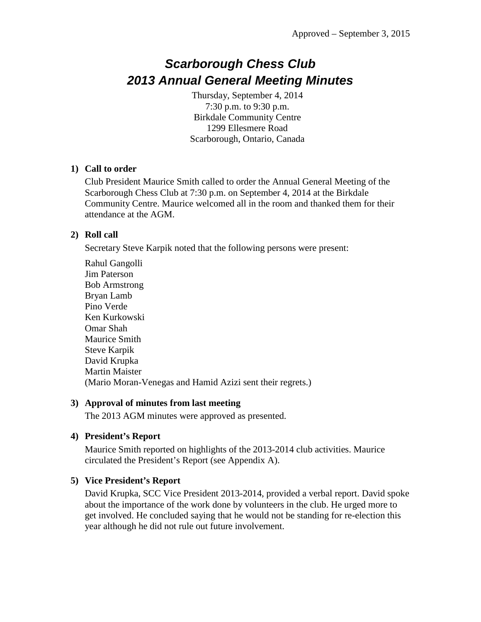# *Scarborough Chess Club 2013 Annual General Meeting Minutes*

Thursday, September 4, 2014 7:30 p.m. to 9:30 p.m. Birkdale Community Centre 1299 Ellesmere Road Scarborough, Ontario, Canada

#### **1) Call to order**

Club President Maurice Smith called to order the Annual General Meeting of the Scarborough Chess Club at 7:30 p.m. on September 4, 2014 at the Birkdale Community Centre. Maurice welcomed all in the room and thanked them for their attendance at the AGM.

#### **2) Roll call**

Secretary Steve Karpik noted that the following persons were present:

Rahul Gangolli Jim Paterson Bob Armstrong Bryan Lamb Pino Verde Ken Kurkowski Omar Shah Maurice Smith Steve Karpik David Krupka Martin Maister (Mario Moran-Venegas and Hamid Azizi sent their regrets.)

#### **3) Approval of minutes from last meeting**

The 2013 AGM minutes were approved as presented.

## **4) President's Report**

Maurice Smith reported on highlights of the 2013-2014 club activities. Maurice circulated the President's Report (see Appendix A).

## **5) Vice President's Report**

David Krupka, SCC Vice President 2013-2014, provided a verbal report. David spoke about the importance of the work done by volunteers in the club. He urged more to get involved. He concluded saying that he would not be standing for re-election this year although he did not rule out future involvement.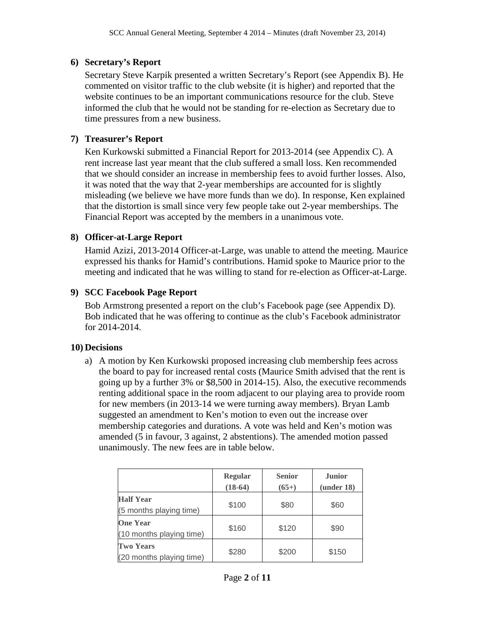#### **6) Secretary's Report**

Secretary Steve Karpik presented a written Secretary's Report (see Appendix B). He commented on visitor traffic to the club website (it is higher) and reported that the website continues to be an important communications resource for the club. Steve informed the club that he would not be standing for re-election as Secretary due to time pressures from a new business.

## **7) Treasurer's Report**

Ken Kurkowski submitted a Financial Report for 2013-2014 (see Appendix C). A rent increase last year meant that the club suffered a small loss. Ken recommended that we should consider an increase in membership fees to avoid further losses. Also, it was noted that the way that 2-year memberships are accounted for is slightly misleading (we believe we have more funds than we do). In response, Ken explained that the distortion is small since very few people take out 2-year memberships. The Financial Report was accepted by the members in a unanimous vote.

## **8) Officer-at-Large Report**

Hamid Azizi, 2013-2014 Officer-at-Large, was unable to attend the meeting. Maurice expressed his thanks for Hamid's contributions. Hamid spoke to Maurice prior to the meeting and indicated that he was willing to stand for re-election as Officer-at-Large.

## **9) SCC Facebook Page Report**

Bob Armstrong presented a report on the club's Facebook page (see Appendix D). Bob indicated that he was offering to continue as the club's Facebook administrator for 2014-2014.

## **10) Decisions**

a) A motion by Ken Kurkowski proposed increasing club membership fees across the board to pay for increased rental costs (Maurice Smith advised that the rent is going up by a further 3% or \$8,500 in 2014-15). Also, the executive recommends renting additional space in the room adjacent to our playing area to provide room for new members (in 2013-14 we were turning away members). Bryan Lamb suggested an amendment to Ken's motion to even out the increase over membership categories and durations. A vote was held and Ken's motion was amended (5 in favour, 3 against, 2 abstentions). The amended motion passed unanimously. The new fees are in table below.

|                                              | <b>Regular</b><br>$(18-64)$ | <b>Senior</b><br>$(65+)$ | <b>Junior</b><br>(under 18) |
|----------------------------------------------|-----------------------------|--------------------------|-----------------------------|
| <b>Half Year</b><br>(5 months playing time)  | \$100                       | \$80                     | \$60                        |
| <b>One Year</b><br>(10 months playing time)  | \$160                       | \$120                    | \$90                        |
| <b>Two Years</b><br>(20 months playing time) | \$280                       | \$200                    | \$150                       |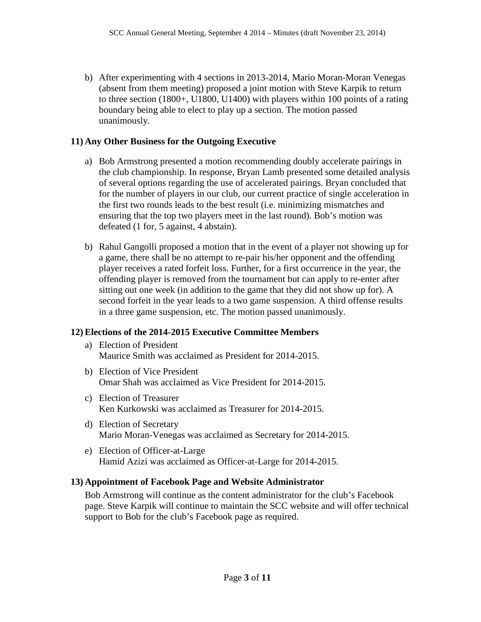b) After experimenting with 4 sections in 2013-2014, Mario Moran-Moran Venegas (absent from them meeting) proposed a joint motion with Steve Karpik to return to three section (1800+, U1800, U1400) with players within 100 points of a rating boundary being able to elect to play up a section. The motion passed unanimously.

#### **11) Any Other Business for the Outgoing Executive**

- a) Bob Armstrong presented a motion recommending doubly accelerate pairings in the club championship. In response, Bryan Lamb presented some detailed analysis of several options regarding the use of accelerated pairings. Bryan concluded that for the number of players in our club, our current practice of single acceleration in the first two rounds leads to the best result (i.e. minimizing mismatches and ensuring that the top two players meet in the last round). Bob's motion was defeated (1 for, 5 against, 4 abstain).
- b) Rahul Gangolli proposed a motion that in the event of a player not showing up for a game, there shall be no attempt to re-pair his/her opponent and the offending player receives a rated forfeit loss. Further, for a first occurrence in the year, the offending player is removed from the tournament but can apply to re-enter after sitting out one week (in addition to the game that they did not show up for). A second forfeit in the year leads to a two game suspension. A third offense results in a three game suspension, etc. The motion passed unanimously.

## **12) Elections of the 2014-2015 Executive Committee Members**

- a) Election of President Maurice Smith was acclaimed as President for 2014-2015.
- b) Election of Vice President Omar Shah was acclaimed as Vice President for 2014-2015.
- c) Election of Treasurer Ken Kurkowski was acclaimed as Treasurer for 2014-2015.
- d) Election of Secretary Mario Moran-Venegas was acclaimed as Secretary for 2014-2015.
- e) Election of Officer-at-Large Hamid Azizi was acclaimed as Officer-at-Large for 2014-2015.

#### **13) Appointment of Facebook Page and Website Administrator**

Bob Armstrong will continue as the content administrator for the club's Facebook page. Steve Karpik will continue to maintain the SCC website and will offer technical support to Bob for the club's Facebook page as required.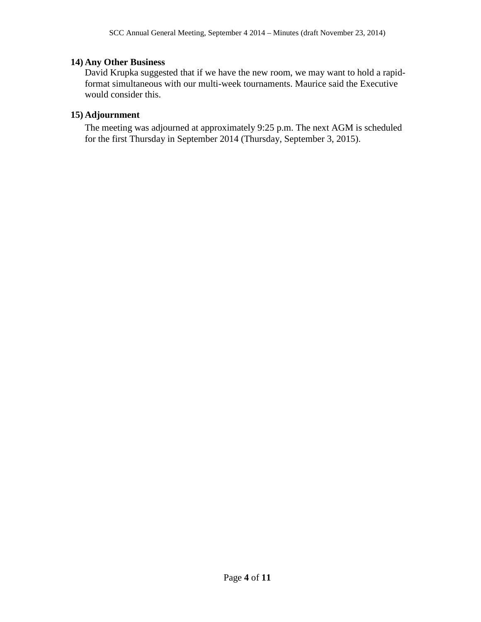## **14) Any Other Business**

David Krupka suggested that if we have the new room, we may want to hold a rapidformat simultaneous with our multi-week tournaments. Maurice said the Executive would consider this.

#### **15) Adjournment**

The meeting was adjourned at approximately 9:25 p.m. The next AGM is scheduled for the first Thursday in September 2014 (Thursday, September 3, 2015).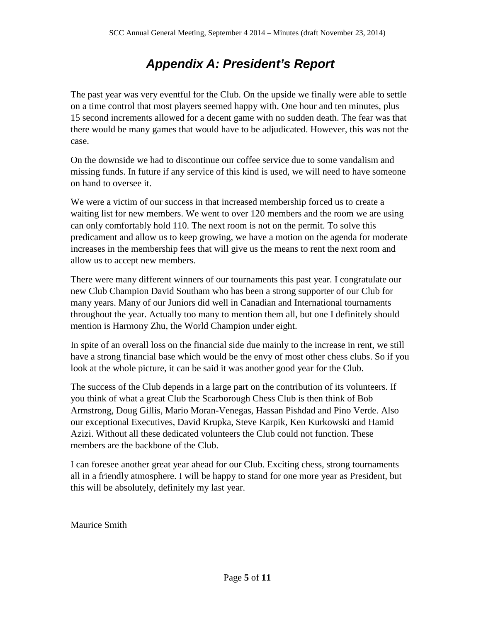# *Appendix A: President's Report*

The past year was very eventful for the Club. On the upside we finally were able to settle on a time control that most players seemed happy with. One hour and ten minutes, plus 15 second increments allowed for a decent game with no sudden death. The fear was that there would be many games that would have to be adjudicated. However, this was not the case.

On the downside we had to discontinue our coffee service due to some vandalism and missing funds. In future if any service of this kind is used, we will need to have someone on hand to oversee it.

We were a victim of our success in that increased membership forced us to create a waiting list for new members. We went to over 120 members and the room we are using can only comfortably hold 110. The next room is not on the permit. To solve this predicament and allow us to keep growing, we have a motion on the agenda for moderate increases in the membership fees that will give us the means to rent the next room and allow us to accept new members.

There were many different winners of our tournaments this past year. I congratulate our new Club Champion David Southam who has been a strong supporter of our Club for many years. Many of our Juniors did well in Canadian and International tournaments throughout the year. Actually too many to mention them all, but one I definitely should mention is Harmony Zhu, the World Champion under eight.

In spite of an overall loss on the financial side due mainly to the increase in rent, we still have a strong financial base which would be the envy of most other chess clubs. So if you look at the whole picture, it can be said it was another good year for the Club.

The success of the Club depends in a large part on the contribution of its volunteers. If you think of what a great Club the Scarborough Chess Club is then think of Bob Armstrong, Doug Gillis, Mario Moran-Venegas, Hassan Pishdad and Pino Verde. Also our exceptional Executives, David Krupka, Steve Karpik, Ken Kurkowski and Hamid Azizi. Without all these dedicated volunteers the Club could not function. These members are the backbone of the Club.

I can foresee another great year ahead for our Club. Exciting chess, strong tournaments all in a friendly atmosphere. I will be happy to stand for one more year as President, but this will be absolutely, definitely my last year.

Maurice Smith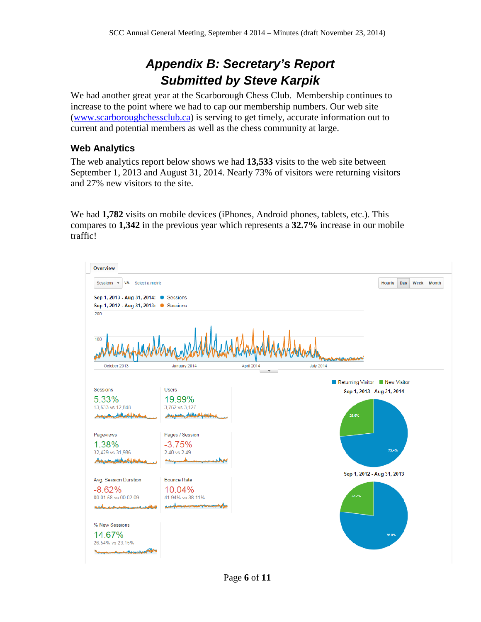# *Appendix B: Secretary's Report Submitted by Steve Karpik*

We had another great year at the Scarborough Chess Club. Membership continues to increase to the point where we had to cap our membership numbers. Our web site [\(www.scarboroughchessclub.ca\)](http://www.scarboroughchessclub.ca/) is serving to get timely, accurate information out to current and potential members as well as the chess community at large.

## **Web Analytics**

The web analytics report below shows we had **13,533** visits to the web site between September 1, 2013 and August 31, 2014. Nearly 73% of visitors were returning visitors and 27% new visitors to the site.

We had **1,782** visits on mobile devices (iPhones, Android phones, tablets, etc.). This compares to **1,342** in the previous year which represents a **32.7%** increase in our mobile traffic!

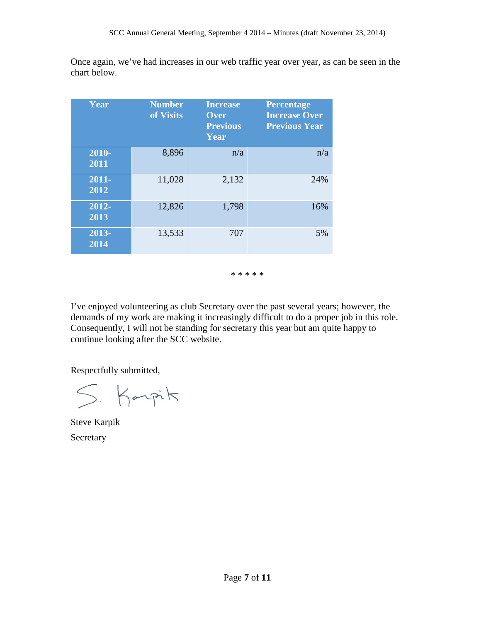Once again, we've had increases in our web traffic year over year, as can be seen in the chart below.

| Year                       | <b>Number</b><br>of Visits | <b>Increase</b><br>Over<br><b>Previous</b><br>Year | <b>Percentage</b><br><b>Increase Over</b><br><b>Previous Year</b> |
|----------------------------|----------------------------|----------------------------------------------------|-------------------------------------------------------------------|
| $2010 -$<br>2011           | 8,896                      | n/a                                                | n/a                                                               |
| 2011-<br>2012              | 11,028                     | 2,132                                              | 24%                                                               |
| 2012-<br>2013              | 12,826                     | 1,798                                              | 16%                                                               |
| 2013-<br>$\overline{2014}$ | 13,533                     | 707                                                | 5%                                                                |

\* \* \* \* \*

I've enjoyed volunteering as club Secretary over the past several years; however, the demands of my work are making it increasingly difficult to do a proper job in this role. Consequently, I will not be standing for secretary this year but am quite happy to continue looking after the SCC website.

Respectfully submitted,

S. Karpit

Steve Karpik **Secretary**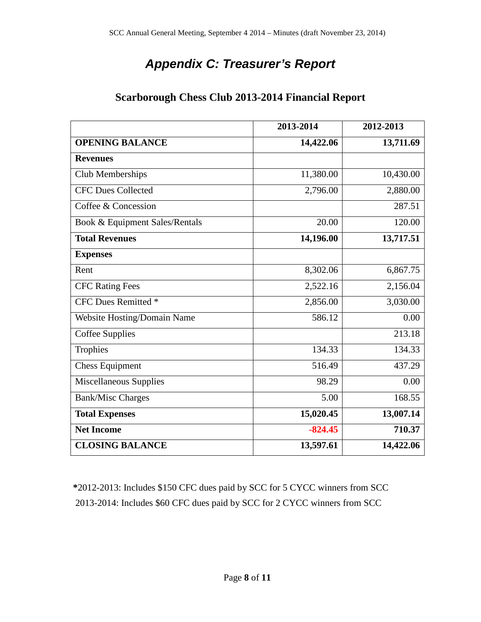# *Appendix C: Treasurer's Report*

|                                    | 2013-2014 | 2012-2013 |
|------------------------------------|-----------|-----------|
| <b>OPENING BALANCE</b>             | 14,422.06 | 13,711.69 |
| <b>Revenues</b>                    |           |           |
| Club Memberships                   | 11,380.00 | 10,430.00 |
| <b>CFC Dues Collected</b>          | 2,796.00  | 2,880.00  |
| Coffee & Concession                |           | 287.51    |
| Book & Equipment Sales/Rentals     | 20.00     | 120.00    |
| <b>Total Revenues</b>              | 14,196.00 | 13,717.51 |
| <b>Expenses</b>                    |           |           |
| Rent                               | 8,302.06  | 6,867.75  |
| <b>CFC Rating Fees</b>             | 2,522.16  | 2,156.04  |
| <b>CFC Dues Remitted *</b>         | 2,856.00  | 3,030.00  |
| <b>Website Hosting/Domain Name</b> | 586.12    | 0.00      |
| Coffee Supplies                    |           | 213.18    |
| Trophies                           | 134.33    | 134.33    |
| <b>Chess Equipment</b>             | 516.49    | 437.29    |
| Miscellaneous Supplies             | 98.29     | 0.00      |
| <b>Bank/Misc Charges</b>           | 5.00      | 168.55    |
| <b>Total Expenses</b>              | 15,020.45 | 13,007.14 |
| <b>Net Income</b>                  | $-824.45$ | 710.37    |
| <b>CLOSING BALANCE</b>             | 13,597.61 | 14,422.06 |

**\***2012-2013: Includes \$150 CFC dues paid by SCC for 5 CYCC winners from SCC 2013-2014: Includes \$60 CFC dues paid by SCC for 2 CYCC winners from SCC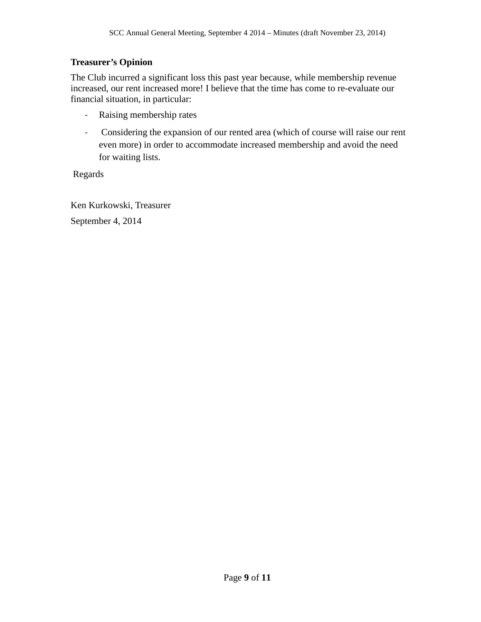## **Treasurer's Opinion**

The Club incurred a significant loss this past year because, while membership revenue increased, our rent increased more! I believe that the time has come to re-evaluate our financial situation, in particular:

- Raising membership rates
- Considering the expansion of our rented area (which of course will raise our rent even more) in order to accommodate increased membership and avoid the need for waiting lists.

Regards

Ken Kurkowski, Treasurer September 4, 2014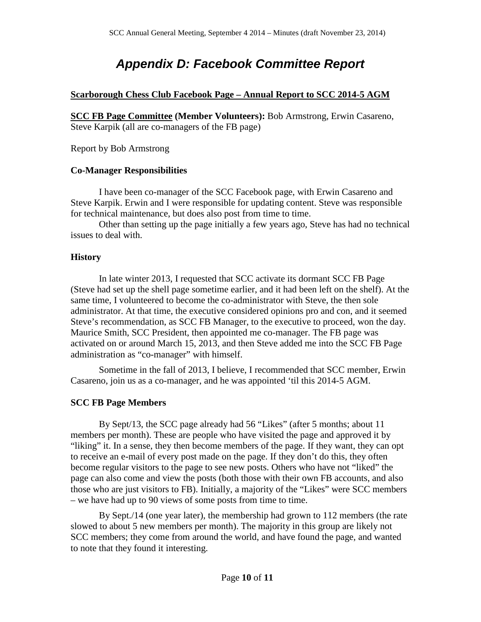# *Appendix D: Facebook Committee Report*

#### **Scarborough Chess Club Facebook Page – Annual Report to SCC 2014-5 AGM**

**SCC FB Page Committee (Member Volunteers):** Bob Armstrong, Erwin Casareno, Steve Karpik (all are co-managers of the FB page)

Report by Bob Armstrong

#### **Co-Manager Responsibilities**

I have been co-manager of the SCC Facebook page, with Erwin Casareno and Steve Karpik. Erwin and I were responsible for updating content. Steve was responsible for technical maintenance, but does also post from time to time.

Other than setting up the page initially a few years ago, Steve has had no technical issues to deal with.

#### **History**

In late winter 2013, I requested that SCC activate its dormant SCC FB Page (Steve had set up the shell page sometime earlier, and it had been left on the shelf). At the same time, I volunteered to become the co-administrator with Steve, the then sole administrator. At that time, the executive considered opinions pro and con, and it seemed Steve's recommendation, as SCC FB Manager, to the executive to proceed, won the day. Maurice Smith, SCC President, then appointed me co-manager. The FB page was activated on or around March 15, 2013, and then Steve added me into the SCC FB Page administration as "co-manager" with himself.

Sometime in the fall of 2013, I believe, I recommended that SCC member, Erwin Casareno, join us as a co-manager, and he was appointed 'til this 2014-5 AGM.

#### **SCC FB Page Members**

By Sept/13, the SCC page already had 56 "Likes" (after 5 months; about 11 members per month). These are people who have visited the page and approved it by "liking" it. In a sense, they then become members of the page. If they want, they can opt to receive an e-mail of every post made on the page. If they don't do this, they often become regular visitors to the page to see new posts. Others who have not "liked" the page can also come and view the posts (both those with their own FB accounts, and also those who are just visitors to FB). Initially, a majority of the "Likes" were SCC members – we have had up to 90 views of some posts from time to time.

By Sept./14 (one year later), the membership had grown to 112 members (the rate slowed to about 5 new members per month). The majority in this group are likely not SCC members; they come from around the world, and have found the page, and wanted to note that they found it interesting.